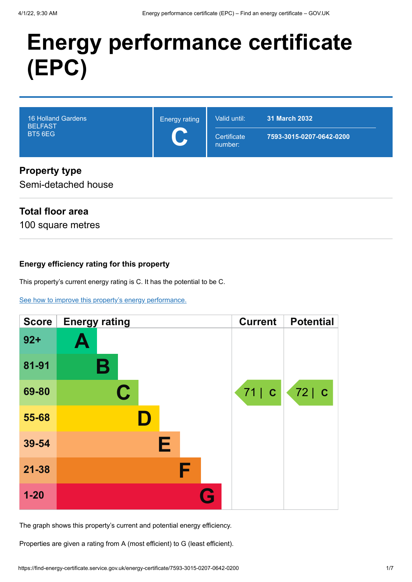# **Energy performance certificate (EPC)**

| <b>16 Holland Gardens</b><br><b>BELFAST</b><br><b>BT5 6EG</b> | <b>Energy rating</b><br>$\blacktriangleright$ | Valid until:<br>Certificate<br>number: | 31 March 2032<br>7593-3015-0207-0642-0200 |
|---------------------------------------------------------------|-----------------------------------------------|----------------------------------------|-------------------------------------------|
| <b>Property type</b>                                          |                                               |                                        |                                           |

# **Property type**

Semi-detached house

# **Total floor area**

100 square metres

### **Energy efficiency rating for this property**

This property's current energy rating is C. It has the potential to be C.

[See how to improve this property's energy performance.](#page-3-0)

| <b>Score</b> | <b>Energy rating</b> | <b>Current</b> | <b>Potential</b> |
|--------------|----------------------|----------------|------------------|
| $92 +$       | Ą                    |                |                  |
| 81-91        | В                    |                |                  |
| 69-80        | C                    | 71   C         | 72 C             |
| 55-68        |                      |                |                  |
| 39-54        | Е                    |                |                  |
| $21 - 38$    |                      |                |                  |
| $1-20$       |                      |                |                  |

The graph shows this property's current and potential energy efficiency.

Properties are given a rating from A (most efficient) to G (least efficient).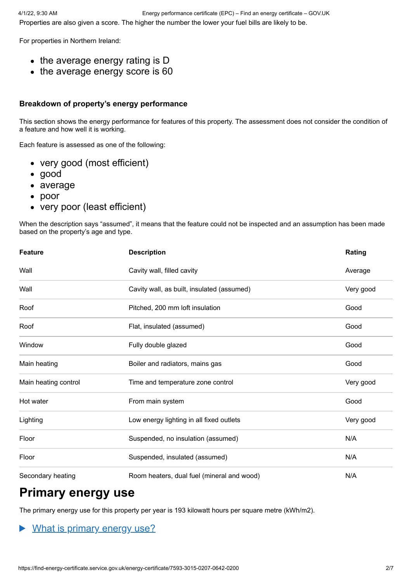For properties in Northern Ireland:

- $\bullet$  the average energy rating is D
- the average energy score is 60

## **Breakdown of property's energy performance**

This section shows the energy performance for features of this property. The assessment does not consider the condition of a feature and how well it is working.

Each feature is assessed as one of the following:

- very good (most efficient)
- good
- average
- poor
- very poor (least efficient)

When the description says "assumed", it means that the feature could not be inspected and an assumption has been made based on the property's age and type.

| <b>Feature</b>       | <b>Description</b>                         | Rating    |
|----------------------|--------------------------------------------|-----------|
| Wall                 | Cavity wall, filled cavity                 | Average   |
| Wall                 | Cavity wall, as built, insulated (assumed) | Very good |
| Roof                 | Pitched, 200 mm loft insulation            | Good      |
| Roof                 | Flat, insulated (assumed)                  | Good      |
| Window               | Fully double glazed                        | Good      |
| Main heating         | Boiler and radiators, mains gas            | Good      |
| Main heating control | Time and temperature zone control          | Very good |
| Hot water            | From main system                           | Good      |
| Lighting             | Low energy lighting in all fixed outlets   | Very good |
| Floor                | Suspended, no insulation (assumed)         | N/A       |
| Floor                | Suspended, insulated (assumed)             | N/A       |
| Secondary heating    | Room heaters, dual fuel (mineral and wood) | N/A       |

# **Primary energy use**

The primary energy use for this property per year is 193 kilowatt hours per square metre (kWh/m2).

# What is primary energy use?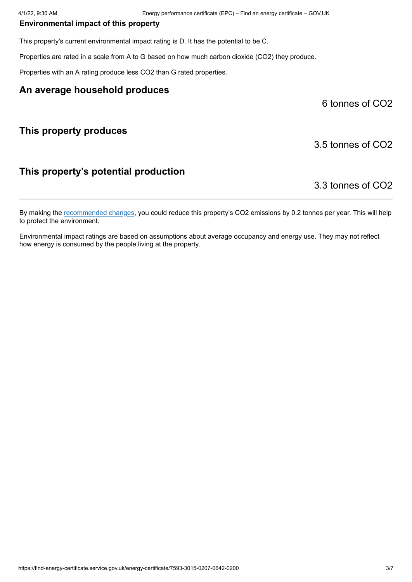#### **Environmental impact of this property**

This property's current environmental impact rating is D. It has the potential to be C.

Properties are rated in a scale from A to G based on how much carbon dioxide (CO2) they produce.

Properties with an A rating produce less CO2 than G rated properties.

#### **An average household produces**

6 tonnes of CO2

#### **This property produces**

3.5 tonnes of CO2

### **This property's potential production**

3.3 tonnes of CO2

By making the [recommended changes](#page-3-0), you could reduce this property's CO2 emissions by 0.2 tonnes per year. This will help to protect the environment.

Environmental impact ratings are based on assumptions about average occupancy and energy use. They may not reflect how energy is consumed by the people living at the property.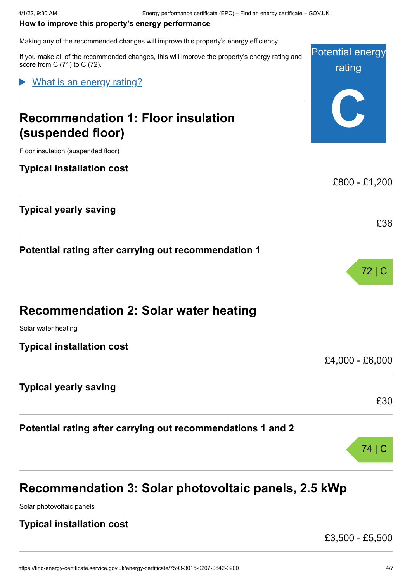#### <span id="page-3-0"></span>**How to improve this property's energy performance**

Making any of the recommended changes will improve this property's energy efficiency.

Potential energy rating **C** If you make all of the recommended changes, this will improve the property's energy rating and score from C (71) to C (72). **Recommendation 1: Floor insulation (suspended floor)** Floor insulation (suspended floor) **Typical installation cost** £800 - £1,200 **Typical yearly saving** £36 **Potential rating after carrying out recommendation 1** 72 | C **Recommendation 2: Solar water heating** Solar water heating **Typical installation cost** £4,000 - £6,000 **Typical yearly saving** £30 **Potential rating after carrying out recommendations 1 and 2** 74 | C What is an energy rating?

# **Recommendation 3: Solar photovoltaic panels, 2.5 kWp**

Solar photovoltaic panels

## **Typical installation cost**

£3,500 - £5,500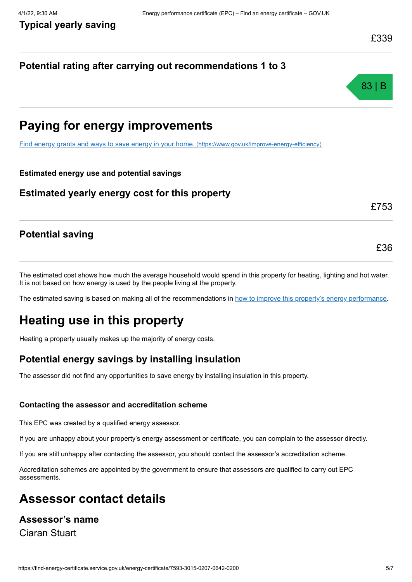## **Potential rating after carrying out recommendations 1 to 3**



# **Paying for energy improvements**

[Find energy grants and ways to save energy in your home.](https://www.gov.uk/improve-energy-efficiency) (https://www.gov.uk/improve-energy-efficiency)

#### **Estimated energy use and potential savings**

#### **Estimated yearly energy cost for this property**

£753

£36

### **Potential saving**

The estimated cost shows how much the average household would spend in this property for heating, lighting and hot water. It is not based on how energy is used by the people living at the property.

The estimated saving is based on making all of the recommendations in [how to improve this property's energy performance.](#page-3-0)

# **Heating use in this property**

Heating a property usually makes up the majority of energy costs.

# **Potential energy savings by installing insulation**

The assessor did not find any opportunities to save energy by installing insulation in this property.

#### **Contacting the assessor and accreditation scheme**

This EPC was created by a qualified energy assessor.

If you are unhappy about your property's energy assessment or certificate, you can complain to the assessor directly.

If you are still unhappy after contacting the assessor, you should contact the assessor's accreditation scheme.

Accreditation schemes are appointed by the government to ensure that assessors are qualified to carry out EPC assessments.

# **Assessor contact details**

## **Assessor's name**

Ciaran Stuart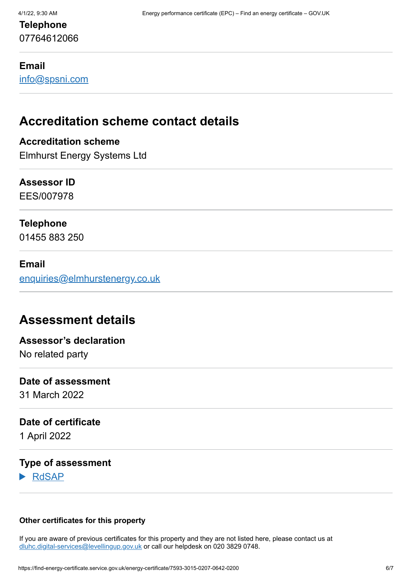# **Telephone** 07764612066

#### **Email**

[info@spsni.com](mailto:info@spsni.com)

# **Accreditation scheme contact details**

## **Accreditation scheme**

Elmhurst Energy Systems Ltd

#### **Assessor ID**

EES/007978

## **Telephone**

01455 883 250

#### **Email**

[enquiries@elmhurstenergy.co.uk](mailto:enquiries@elmhurstenergy.co.uk)

# **Assessment details**

# **Assessor's declaration**

No related party

#### **Date of assessment**

31 March 2022

#### **Date of certificate**

1 April 2022

### **Type of assessment**

RdSAP

#### **Other certificates for this property**

If you are aware of previous certificates for this property and they are not listed here, please contact us at [dluhc.digital-services@levellingup.gov.uk](mailto:dluhc.digital-services@levellingup.gov.uk?subject=EPB%20-) or call our helpdesk on 020 3829 0748.